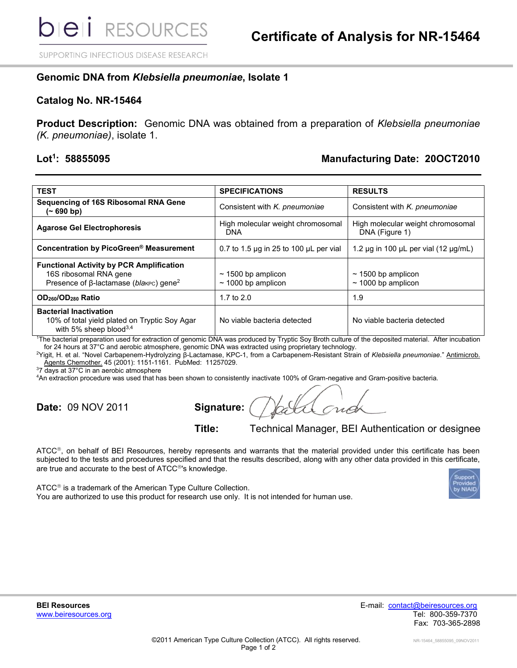SUPPORTING INFECTIOUS DISEASE RESEARCH

## **Genomic DNA from** *Klebsiella pneumoniae***, Isolate 1**

## **Catalog No. NR-15464**

**Product Description:** Genomic DNA was obtained from a preparation of *Klebsiella pneumoniae (K. pneumoniae)*, isolate 1.

## Lot<sup>1</sup>: 58855095

## **: 58855095 Manufacturing Date: 20OCT2010**

| <b>TEST</b>                                                                                                                            | <b>SPECIFICATIONS</b>                              | <b>RESULTS</b>                                      |
|----------------------------------------------------------------------------------------------------------------------------------------|----------------------------------------------------|-----------------------------------------------------|
| <b>Sequencing of 16S Ribosomal RNA Gene</b><br>$(-690 b)$                                                                              | Consistent with K. pneumoniae                      | Consistent with K. pneumoniae                       |
| <b>Agarose Gel Electrophoresis</b>                                                                                                     | High molecular weight chromosomal<br>DNA           | High molecular weight chromosomal<br>DNA (Figure 1) |
| Concentration by PicoGreen® Measurement                                                                                                | 0.7 to 1.5 $\mu$ q in 25 to 100 $\mu$ L per vial   | 1.2 $\mu$ g in 100 $\mu$ L per vial (12 $\mu$ g/mL) |
| <b>Functional Activity by PCR Amplification</b><br>16S ribosomal RNA gene<br>Presence of $\beta$ -lactamase (blakec) gene <sup>2</sup> | $\sim$ 1500 bp amplicon<br>$\sim$ 1000 bp amplicon | $\sim$ 1500 bp amplicon<br>$\sim$ 1000 bp amplicon  |
| OD <sub>260</sub> /OD <sub>280</sub> Ratio                                                                                             | 1.7 to $2.0$                                       | 1.9                                                 |
| <b>Bacterial Inactivation</b><br>10% of total yield plated on Tryptic Soy Agar<br>with 5% sheep blood $3,4$                            | No viable bacteria detected                        | No viable bacteria detected                         |

<sup>1</sup>The bacterial preparation used for extraction of genomic DNA was produced by Tryptic Soy Broth culture of the deposited material. After incubation for 24 hours at 37°C and aerobic atmosphere, genomic DNA was extracted using proprietary technology.

<sup>2</sup>Yigit, H. et al. "Novel Carbapenem-Hydrolyzing β-Lactamase, KPC-1, from a Carbapenem-Resistant Strain of *Klebsiella pneumoniae*." Antimicrob. Agents Chemother. 45 (2001): 1151-1161. PubMed: 11257029.

<sup>3</sup>7 days at 37°C in an aerobic atmosphere

<sup>4</sup>An extraction procedure was used that has been shown to consistently inactivate 100% of Gram-negative and Gram-positive bacteria.

**Date:** 09 NOV 2011 **Signature:**

**Title:** Technical Manager, BEI Authentication or designee

ATCC®, on behalf of BEI Resources, hereby represents and warrants that the material provided under this certificate has been subjected to the tests and procedures specified and that the results described, along with any other data provided in this certificate, are true and accurate to the best of ATCC<sup>®</sup>'s knowledge.

ATCC<sup>®</sup> is a trademark of the American Type Culture Collection. You are authorized to use this product for research use only. It is not intended for human use.